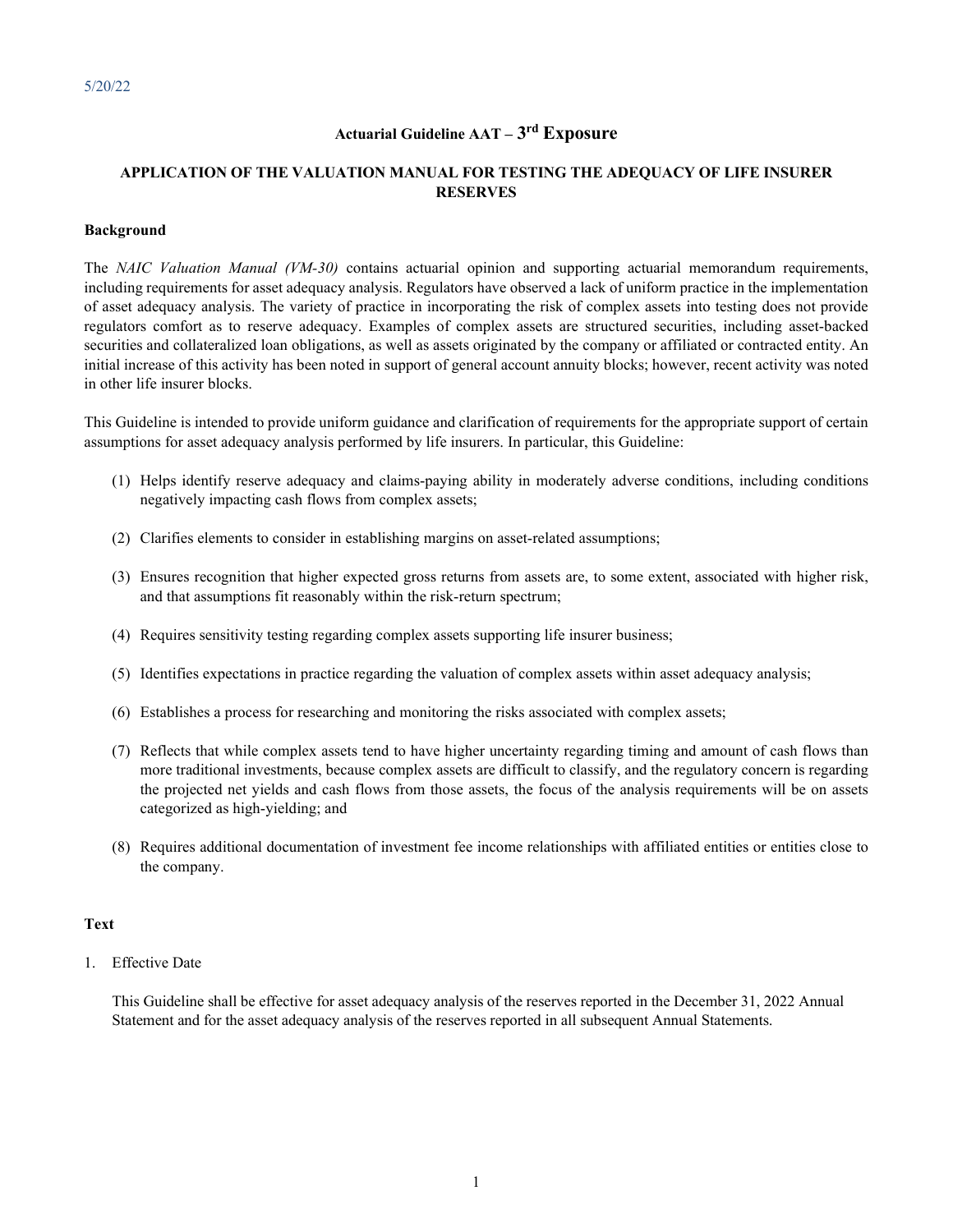# **Actuarial Guideline AAT – 3rd Exposure**

# **APPLICATION OF THE VALUATION MANUAL FOR TESTING THE ADEQUACY OF LIFE INSURER RESERVES**

### **Background**

The *NAIC Valuation Manual (VM-30)* contains actuarial opinion and supporting actuarial memorandum requirements, including requirements for asset adequacy analysis. Regulators have observed a lack of uniform practice in the implementation of asset adequacy analysis. The variety of practice in incorporating the risk of complex assets into testing does not provide regulators comfort as to reserve adequacy. Examples of complex assets are structured securities, including asset-backed securities and collateralized loan obligations, as well as assets originated by the company or affiliated or contracted entity. An initial increase of this activity has been noted in support of general account annuity blocks; however, recent activity was noted in other life insurer blocks.

This Guideline is intended to provide uniform guidance and clarification of requirements for the appropriate support of certain assumptions for asset adequacy analysis performed by life insurers. In particular, this Guideline:

- (1) Helps identify reserve adequacy and claims-paying ability in moderately adverse conditions, including conditions negatively impacting cash flows from complex assets;
- (2) Clarifies elements to consider in establishing margins on asset-related assumptions;
- (3) Ensures recognition that higher expected gross returns from assets are, to some extent, associated with higher risk, and that assumptions fit reasonably within the risk-return spectrum;
- (4) Requires sensitivity testing regarding complex assets supporting life insurer business;
- (5) Identifies expectations in practice regarding the valuation of complex assets within asset adequacy analysis;
- (6) Establishes a process for researching and monitoring the risks associated with complex assets;
- (7) Reflects that while complex assets tend to have higher uncertainty regarding timing and amount of cash flows than more traditional investments, because complex assets are difficult to classify, and the regulatory concern is regarding the projected net yields and cash flows from those assets, the focus of the analysis requirements will be on assets categorized as high-yielding; and
- (8) Requires additional documentation of investment fee income relationships with affiliated entities or entities close to the company.

### **Text**

1. Effective Date

This Guideline shall be effective for asset adequacy analysis of the reserves reported in the December 31, 2022 Annual Statement and for the asset adequacy analysis of the reserves reported in all subsequent Annual Statements.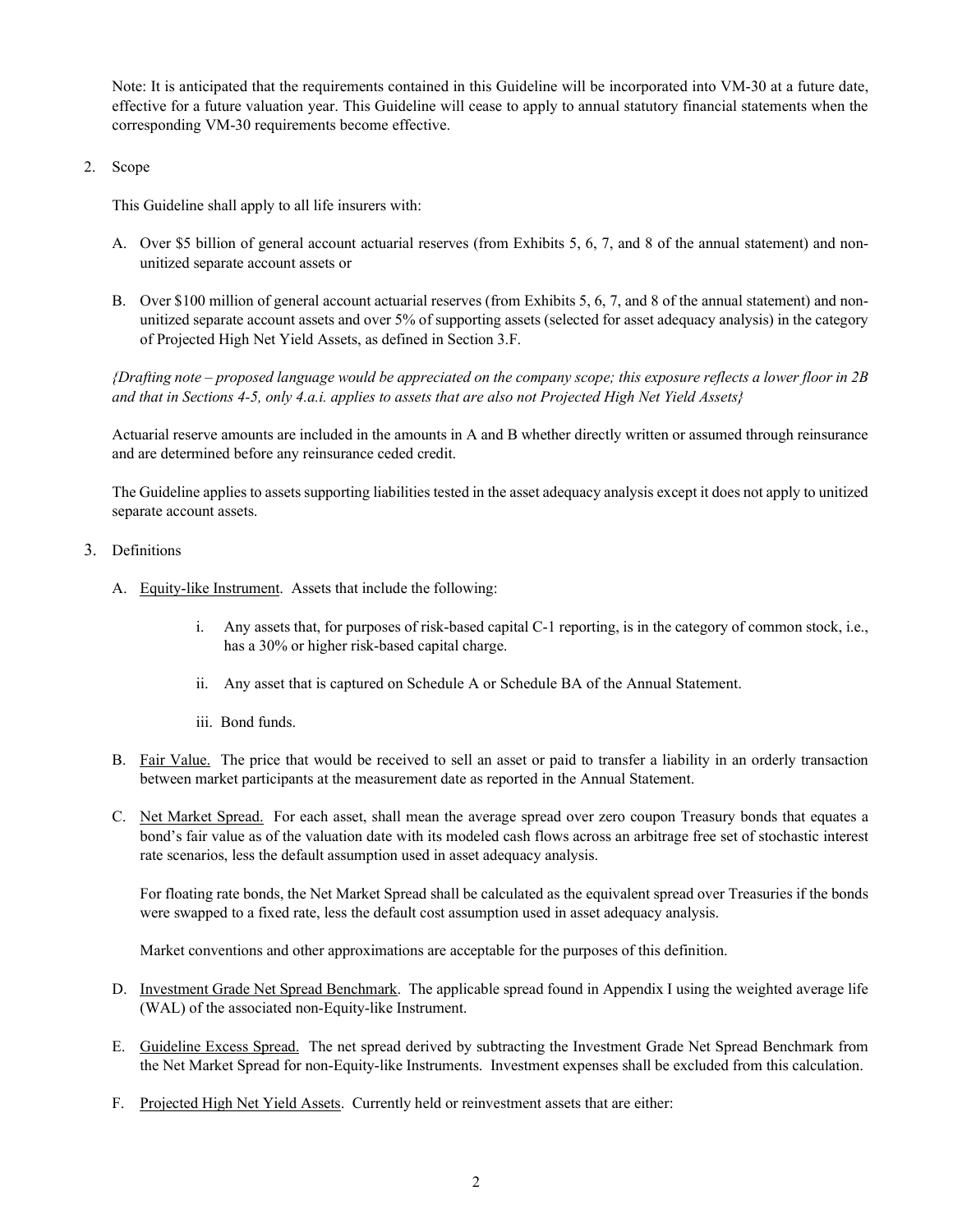Note: It is anticipated that the requirements contained in this Guideline will be incorporated into VM-30 at a future date, effective for a future valuation year. This Guideline will cease to apply to annual statutory financial statements when the corresponding VM-30 requirements become effective.

2. Scope

This Guideline shall apply to all life insurers with:

- A. Over \$5 billion of general account actuarial reserves (from Exhibits 5, 6, 7, and 8 of the annual statement) and nonunitized separate account assets or
- B. Over \$100 million of general account actuarial reserves (from Exhibits 5, 6, 7, and 8 of the annual statement) and nonunitized separate account assets and over 5% of supporting assets (selected for asset adequacy analysis) in the category of Projected High Net Yield Assets, as defined in Section 3.F.

*{Drafting note – proposed language would be appreciated on the company scope; this exposure reflects a lower floor in 2B and that in Sections 4-5, only 4.a.i. applies to assets that are also not Projected High Net Yield Assets}*

Actuarial reserve amounts are included in the amounts in A and B whether directly written or assumed through reinsurance and are determined before any reinsurance ceded credit.

The Guideline applies to assets supporting liabilities tested in the asset adequacy analysis except it does not apply to unitized separate account assets.

# 3. Definitions

- A. Equity-like Instrument. Assets that include the following:
	- i. Any assets that, for purposes of risk-based capital C-1 reporting, is in the category of common stock, i.e., has a 30% or higher risk-based capital charge.
	- ii. Any asset that is captured on Schedule A or Schedule BA of the Annual Statement.
	- iii. Bond funds.
- B. Fair Value. The price that would be received to sell an asset or paid to transfer a liability in an orderly transaction between market participants at the measurement date as reported in the Annual Statement.
- C. Net Market Spread. For each asset, shall mean the average spread over zero coupon Treasury bonds that equates a bond's fair value as of the valuation date with its modeled cash flows across an arbitrage free set of stochastic interest rate scenarios, less the default assumption used in asset adequacy analysis.

For floating rate bonds, the Net Market Spread shall be calculated as the equivalent spread over Treasuries if the bonds were swapped to a fixed rate, less the default cost assumption used in asset adequacy analysis.

Market conventions and other approximations are acceptable for the purposes of this definition.

- D. Investment Grade Net Spread Benchmark. The applicable spread found in Appendix I using the weighted average life (WAL) of the associated non-Equity-like Instrument.
- E. Guideline Excess Spread. The net spread derived by subtracting the Investment Grade Net Spread Benchmark from the Net Market Spread for non-Equity-like Instruments. Investment expenses shall be excluded from this calculation.
- F. Projected High Net Yield Assets. Currently held or reinvestment assets that are either: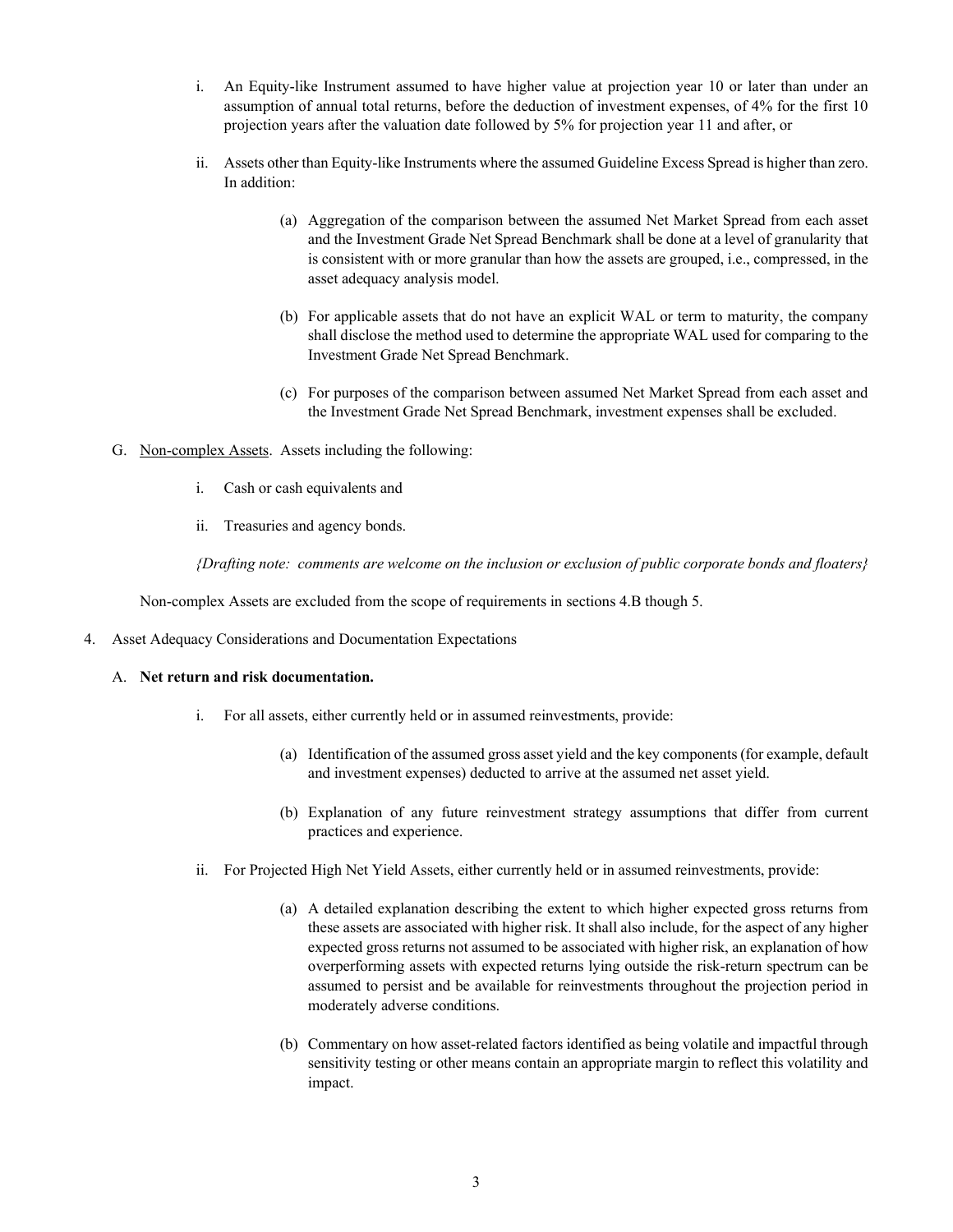- i. An Equity-like Instrument assumed to have higher value at projection year 10 or later than under an assumption of annual total returns, before the deduction of investment expenses, of 4% for the first 10 projection years after the valuation date followed by 5% for projection year 11 and after, or
- ii. Assets other than Equity-like Instruments where the assumed Guideline Excess Spread is higher than zero. In addition:
	- (a) Aggregation of the comparison between the assumed Net Market Spread from each asset and the Investment Grade Net Spread Benchmark shall be done at a level of granularity that is consistent with or more granular than how the assets are grouped, i.e., compressed, in the asset adequacy analysis model.
	- (b) For applicable assets that do not have an explicit WAL or term to maturity, the company shall disclose the method used to determine the appropriate WAL used for comparing to the Investment Grade Net Spread Benchmark.
	- (c) For purposes of the comparison between assumed Net Market Spread from each asset and the Investment Grade Net Spread Benchmark, investment expenses shall be excluded.
- G. Non-complex Assets. Assets including the following:
	- i. Cash or cash equivalents and
	- ii. Treasuries and agency bonds.

*{Drafting note: comments are welcome on the inclusion or exclusion of public corporate bonds and floaters}*

Non-complex Assets are excluded from the scope of requirements in sections 4.B though 5.

4. Asset Adequacy Considerations and Documentation Expectations

### A. **Net return and risk documentation.**

- i. For all assets, either currently held or in assumed reinvestments, provide:
	- (a) Identification of the assumed gross asset yield and the key components (for example, default and investment expenses) deducted to arrive at the assumed net asset yield.
	- (b) Explanation of any future reinvestment strategy assumptions that differ from current practices and experience.
- ii. For Projected High Net Yield Assets, either currently held or in assumed reinvestments, provide:
	- (a) A detailed explanation describing the extent to which higher expected gross returns from these assets are associated with higher risk. It shall also include, for the aspect of any higher expected gross returns not assumed to be associated with higher risk, an explanation of how overperforming assets with expected returns lying outside the risk-return spectrum can be assumed to persist and be available for reinvestments throughout the projection period in moderately adverse conditions.
	- (b) Commentary on how asset-related factors identified as being volatile and impactful through sensitivity testing or other means contain an appropriate margin to reflect this volatility and impact.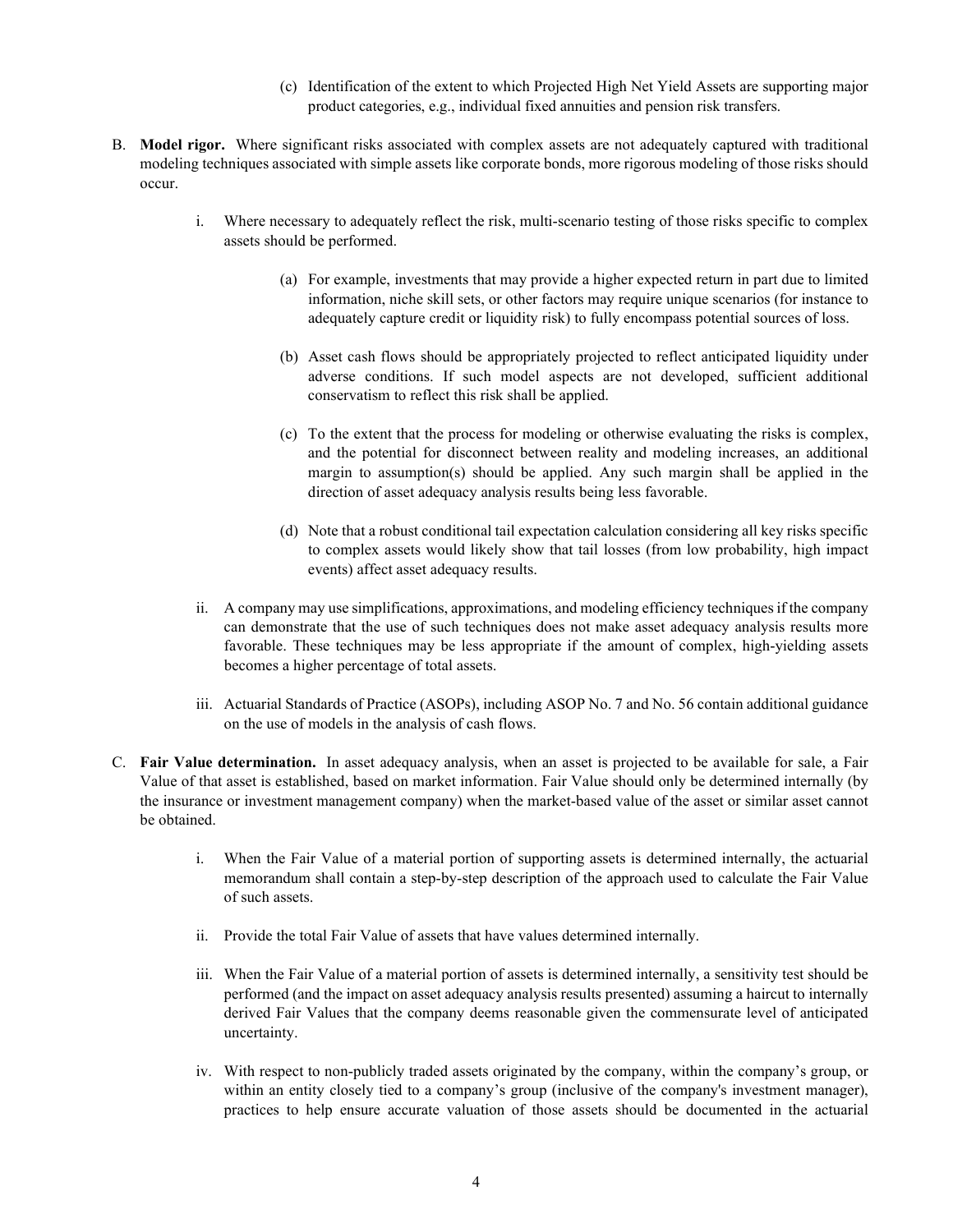- (c) Identification of the extent to which Projected High Net Yield Assets are supporting major product categories, e.g., individual fixed annuities and pension risk transfers.
- B. **Model rigor.** Where significant risks associated with complex assets are not adequately captured with traditional modeling techniques associated with simple assets like corporate bonds, more rigorous modeling of those risks should occur.
	- i. Where necessary to adequately reflect the risk, multi-scenario testing of those risks specific to complex assets should be performed.
		- (a) For example, investments that may provide a higher expected return in part due to limited information, niche skill sets, or other factors may require unique scenarios (for instance to adequately capture credit or liquidity risk) to fully encompass potential sources of loss.
		- (b) Asset cash flows should be appropriately projected to reflect anticipated liquidity under adverse conditions. If such model aspects are not developed, sufficient additional conservatism to reflect this risk shall be applied.
		- (c) To the extent that the process for modeling or otherwise evaluating the risks is complex, and the potential for disconnect between reality and modeling increases, an additional margin to assumption(s) should be applied. Any such margin shall be applied in the direction of asset adequacy analysis results being less favorable.
		- (d) Note that a robust conditional tail expectation calculation considering all key risks specific to complex assets would likely show that tail losses (from low probability, high impact events) affect asset adequacy results.
	- ii. A company may use simplifications, approximations, and modeling efficiency techniques if the company can demonstrate that the use of such techniques does not make asset adequacy analysis results more favorable. These techniques may be less appropriate if the amount of complex, high-yielding assets becomes a higher percentage of total assets.
	- iii. Actuarial Standards of Practice (ASOPs), including ASOP No. 7 and No. 56 contain additional guidance on the use of models in the analysis of cash flows.
- C. **Fair Value determination.** In asset adequacy analysis, when an asset is projected to be available for sale, a Fair Value of that asset is established, based on market information. Fair Value should only be determined internally (by the insurance or investment management company) when the market-based value of the asset or similar asset cannot be obtained.
	- i. When the Fair Value of a material portion of supporting assets is determined internally, the actuarial memorandum shall contain a step-by-step description of the approach used to calculate the Fair Value of such assets.
	- ii. Provide the total Fair Value of assets that have values determined internally.
	- iii. When the Fair Value of a material portion of assets is determined internally, a sensitivity test should be performed (and the impact on asset adequacy analysis results presented) assuming a haircut to internally derived Fair Values that the company deems reasonable given the commensurate level of anticipated uncertainty.
	- iv. With respect to non-publicly traded assets originated by the company, within the company's group, or within an entity closely tied to a company's group (inclusive of the company's investment manager), practices to help ensure accurate valuation of those assets should be documented in the actuarial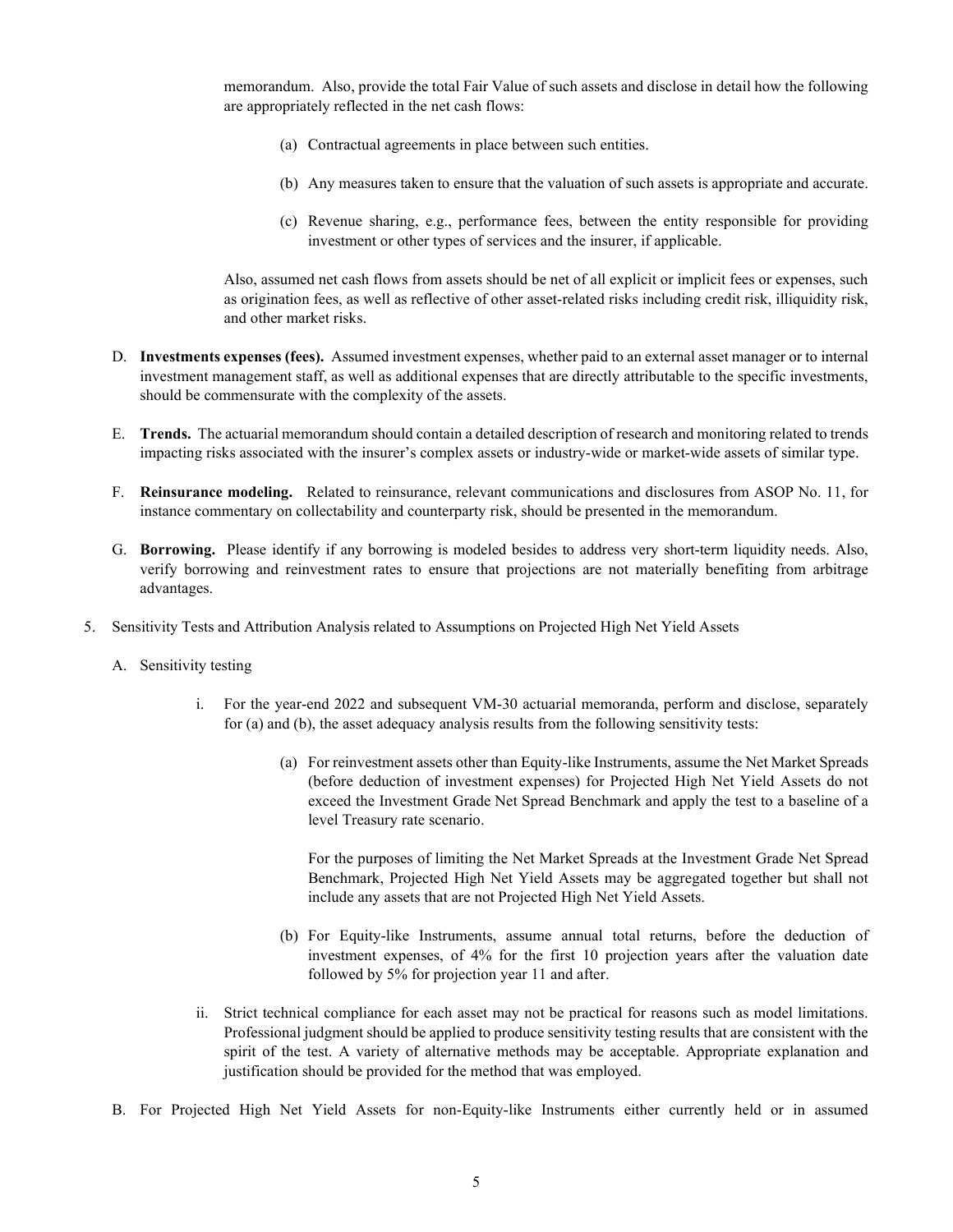memorandum. Also, provide the total Fair Value of such assets and disclose in detail how the following are appropriately reflected in the net cash flows:

- (a) Contractual agreements in place between such entities.
- (b) Any measures taken to ensure that the valuation of such assets is appropriate and accurate.
- (c) Revenue sharing, e.g., performance fees, between the entity responsible for providing investment or other types of services and the insurer, if applicable.

Also, assumed net cash flows from assets should be net of all explicit or implicit fees or expenses, such as origination fees, as well as reflective of other asset-related risks including credit risk, illiquidity risk, and other market risks.

- D. **Investments expenses (fees).** Assumed investment expenses, whether paid to an external asset manager or to internal investment management staff, as well as additional expenses that are directly attributable to the specific investments, should be commensurate with the complexity of the assets.
- E. **Trends.** The actuarial memorandum should contain a detailed description of research and monitoring related to trends impacting risks associated with the insurer's complex assets or industry-wide or market-wide assets of similar type.
- F. **Reinsurance modeling.** Related to reinsurance, relevant communications and disclosures from ASOP No. 11, for instance commentary on collectability and counterparty risk, should be presented in the memorandum.
- G. **Borrowing.** Please identify if any borrowing is modeled besides to address very short-term liquidity needs. Also, verify borrowing and reinvestment rates to ensure that projections are not materially benefiting from arbitrage advantages.
- 5. Sensitivity Tests and Attribution Analysis related to Assumptions on Projected High Net Yield Assets
	- A. Sensitivity testing
		- i. For the year-end 2022 and subsequent VM-30 actuarial memoranda, perform and disclose, separately for (a) and (b), the asset adequacy analysis results from the following sensitivity tests:
			- (a) For reinvestment assets other than Equity-like Instruments, assume the Net Market Spreads (before deduction of investment expenses) for Projected High Net Yield Assets do not exceed the Investment Grade Net Spread Benchmark and apply the test to a baseline of a level Treasury rate scenario.

For the purposes of limiting the Net Market Spreads at the Investment Grade Net Spread Benchmark, Projected High Net Yield Assets may be aggregated together but shall not include any assets that are not Projected High Net Yield Assets.

- (b) For Equity-like Instruments, assume annual total returns, before the deduction of investment expenses, of 4% for the first 10 projection years after the valuation date followed by 5% for projection year 11 and after.
- ii. Strict technical compliance for each asset may not be practical for reasons such as model limitations. Professional judgment should be applied to produce sensitivity testing results that are consistent with the spirit of the test. A variety of alternative methods may be acceptable. Appropriate explanation and justification should be provided for the method that was employed.
- B. For Projected High Net Yield Assets for non-Equity-like Instruments either currently held or in assumed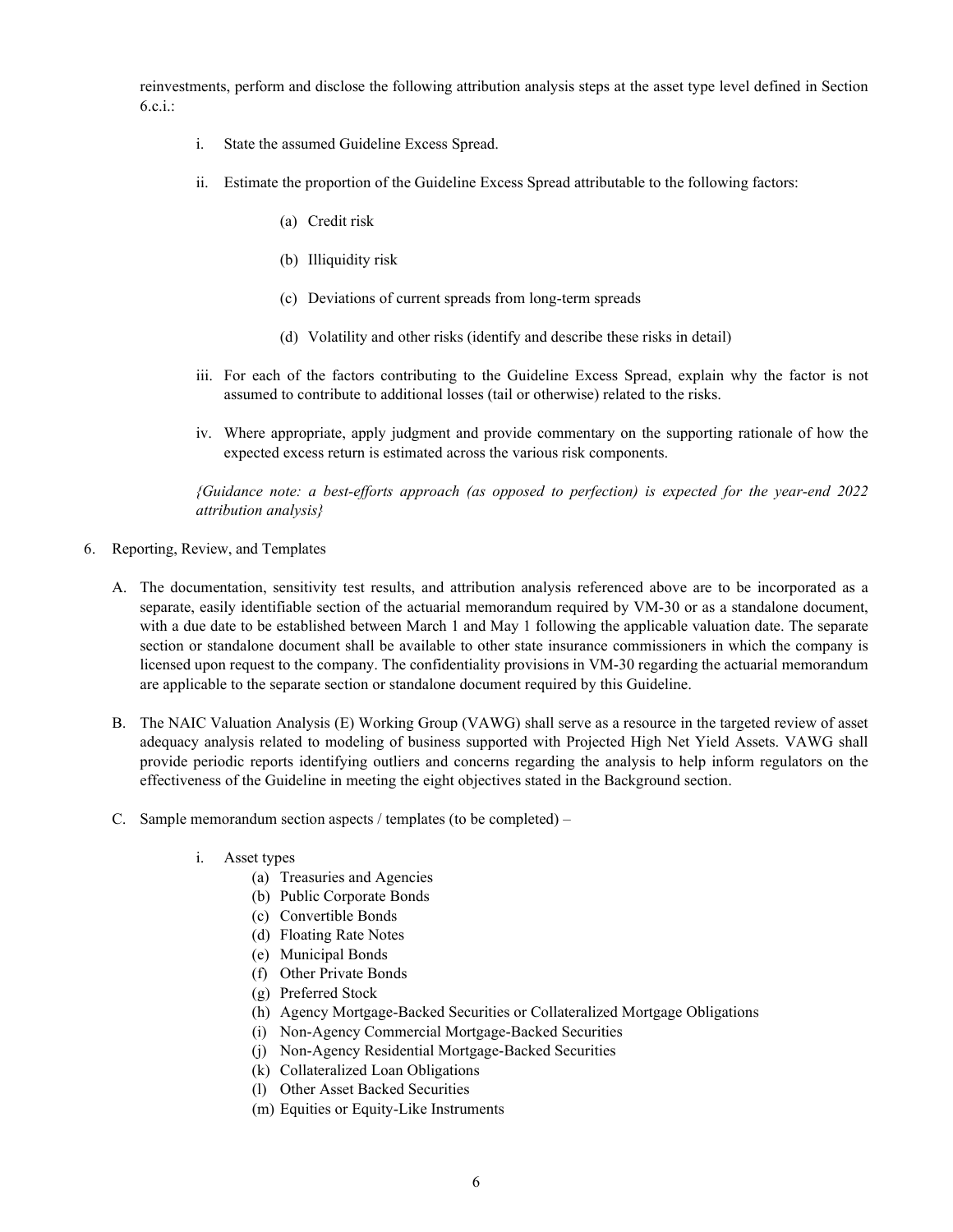reinvestments, perform and disclose the following attribution analysis steps at the asset type level defined in Section  $6.c.i.$ :

- i. State the assumed Guideline Excess Spread.
- ii. Estimate the proportion of the Guideline Excess Spread attributable to the following factors:
	- (a) Credit risk
	- (b) Illiquidity risk
	- (c) Deviations of current spreads from long-term spreads
	- (d) Volatility and other risks (identify and describe these risks in detail)
- iii. For each of the factors contributing to the Guideline Excess Spread, explain why the factor is not assumed to contribute to additional losses (tail or otherwise) related to the risks.
- iv. Where appropriate, apply judgment and provide commentary on the supporting rationale of how the expected excess return is estimated across the various risk components.

*{Guidance note: a best-efforts approach (as opposed to perfection) is expected for the year-end 2022 attribution analysis}*

- 6. Reporting, Review, and Templates
	- A. The documentation, sensitivity test results, and attribution analysis referenced above are to be incorporated as a separate, easily identifiable section of the actuarial memorandum required by VM-30 or as a standalone document, with a due date to be established between March 1 and May 1 following the applicable valuation date. The separate section or standalone document shall be available to other state insurance commissioners in which the company is licensed upon request to the company. The confidentiality provisions in VM-30 regarding the actuarial memorandum are applicable to the separate section or standalone document required by this Guideline.
	- B. The NAIC Valuation Analysis (E) Working Group (VAWG) shall serve as a resource in the targeted review of asset adequacy analysis related to modeling of business supported with Projected High Net Yield Assets. VAWG shall provide periodic reports identifying outliers and concerns regarding the analysis to help inform regulators on the effectiveness of the Guideline in meeting the eight objectives stated in the Background section.
	- C. Sample memorandum section aspects / templates (to be completed)
		- i. Asset types
			- (a) Treasuries and Agencies
			- (b) Public Corporate Bonds
			- (c) Convertible Bonds
			- (d) Floating Rate Notes
			- (e) Municipal Bonds
			- (f) Other Private Bonds
			- (g) Preferred Stock
			- (h) Agency Mortgage-Backed Securities or Collateralized Mortgage Obligations
			- (i) Non-Agency Commercial Mortgage-Backed Securities
			- (j) Non-Agency Residential Mortgage-Backed Securities
			- (k) Collateralized Loan Obligations
			- (l) Other Asset Backed Securities
			- (m) Equities or Equity-Like Instruments